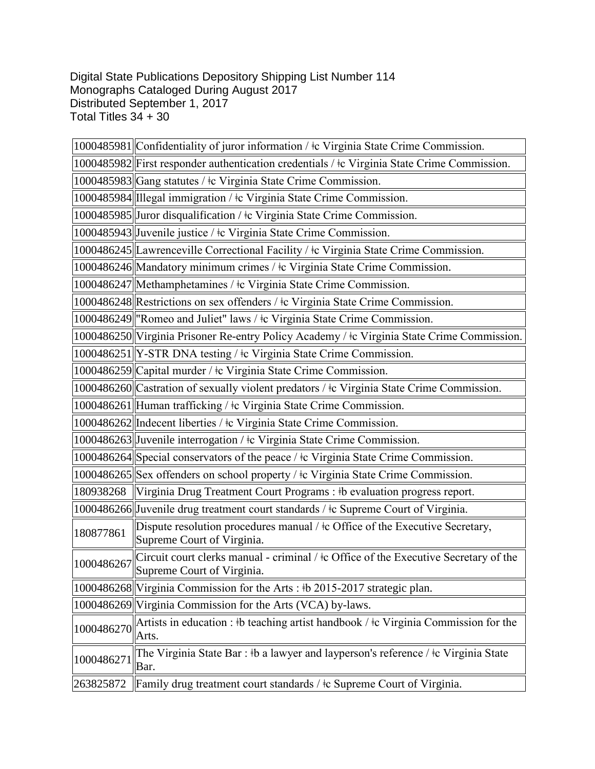Digital State Publications Depository Shipping List Number 114 Monographs Cataloged During August 2017 Distributed September 1, 2017 Total Titles 34 + 30

|            | 1000485981 Confidentiality of juror information / ‡c Virginia State Crime Commission.                                 |
|------------|-----------------------------------------------------------------------------------------------------------------------|
|            | 1000485982 First responder authentication credentials / $\pm c$ Virginia State Crime Commission.                      |
|            | 1000485983 Gang statutes / ‡c Virginia State Crime Commission.                                                        |
|            | 1000485984 Illegal immigration / tc Virginia State Crime Commission.                                                  |
|            | 1000485985 Juror disqualification / ‡c Virginia State Crime Commission.                                               |
|            | 1000485943 Juvenile justice / ‡c Virginia State Crime Commission.                                                     |
|            | 1000486245  Lawrenceville Correctional Facility / ‡c Virginia State Crime Commission.                                 |
|            | 1000486246 Mandatory minimum crimes / ‡c Virginia State Crime Commission.                                             |
|            | 1000486247 Methamphetamines / $\pm c$ Virginia State Crime Commission.                                                |
|            | 1000486248 Restrictions on sex offenders / ‡c Virginia State Crime Commission.                                        |
|            | 1000486249 "Romeo and Juliet" laws / ‡c Virginia State Crime Commission.                                              |
|            | 1000486250 Virginia Prisoner Re-entry Policy Academy / ‡c Virginia State Crime Commission.                            |
|            | 1000486251 Y-STR DNA testing / ‡c Virginia State Crime Commission.                                                    |
|            | 1000486259 Capital murder / ‡c Virginia State Crime Commission.                                                       |
|            | 1000486260 Castration of sexually violent predators / ‡c Virginia State Crime Commission.                             |
|            | 1000486261 Human trafficking / ‡c Virginia State Crime Commission.                                                    |
|            | 1000486262  Indecent liberties / ‡c Virginia State Crime Commission.                                                  |
|            | 1000486263 Juvenile interrogation / ‡c Virginia State Crime Commission.                                               |
|            | 1000486264 Special conservators of the peace / ‡c Virginia State Crime Commission.                                    |
|            | 1000486265 Sex offenders on school property / ‡c Virginia State Crime Commission.                                     |
|            | 180938268 Virginia Drug Treatment Court Programs : #b evaluation progress report.                                     |
|            | 1000486266 Juvenile drug treatment court standards / ‡c Supreme Court of Virginia.                                    |
| 180877861  | Dispute resolution procedures manual / $\pm$ c Office of the Executive Secretary,<br>Supreme Court of Virginia.       |
| 1000486267 | Circuit court clerks manual - criminal / $\pm$ Office of the Executive Secretary of the<br>Supreme Court of Virginia. |
|            | 1000486268 Virginia Commission for the Arts: #b 2015-2017 strategic plan.                                             |
|            | 1000486269 Virginia Commission for the Arts (VCA) by-laws.                                                            |
| 1000486270 | Artists in education : #b teaching artist handbook / $\pm c$ Virginia Commission for the<br>Arts.                     |
| 1000486271 | The Virginia State Bar: #b a lawyer and layperson's reference / #c Virginia State<br>Bar.                             |
| 263825872  | Family drug treatment court standards / ‡c Supreme Court of Virginia.                                                 |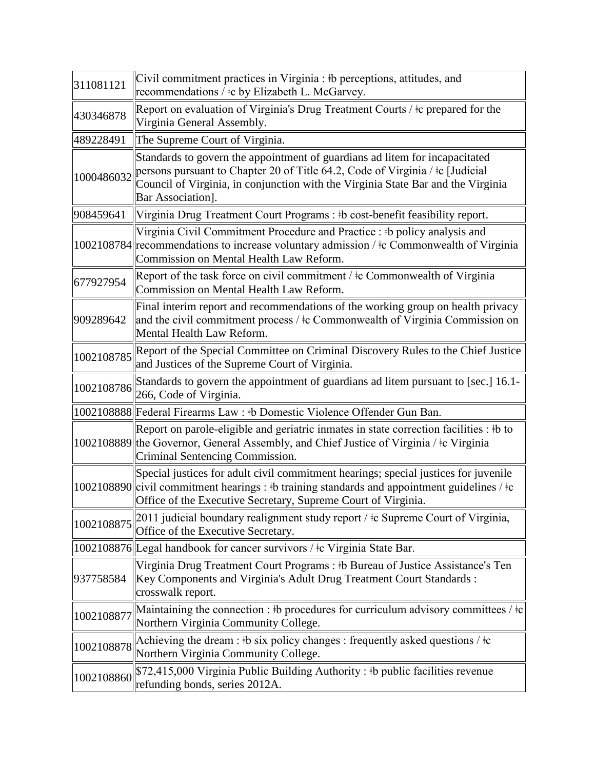| 311081121  | Civil commitment practices in Virginia : #b perceptions, attitudes, and<br>recommendations / $\pm c$ by Elizabeth L. McGarvey.                                                                                                                                        |
|------------|-----------------------------------------------------------------------------------------------------------------------------------------------------------------------------------------------------------------------------------------------------------------------|
| 430346878  | Report on evaluation of Virginia's Drug Treatment Courts / ‡c prepared for the<br>Virginia General Assembly.                                                                                                                                                          |
| 489228491  | The Supreme Court of Virginia.                                                                                                                                                                                                                                        |
| 1000486032 | Standards to govern the appointment of guardians ad litem for incapacitated<br>persons pursuant to Chapter 20 of Title 64.2, Code of Virginia / ‡c [Judicial<br>Council of Virginia, in conjunction with the Virginia State Bar and the Virginia<br>Bar Association]. |
| 908459641  | Virginia Drug Treatment Court Programs : #b cost-benefit feasibility report.                                                                                                                                                                                          |
|            | Virginia Civil Commitment Procedure and Practice : #b policy analysis and<br>1002108784 recommendations to increase voluntary admission / $\pm c$ Commonwealth of Virginia<br>Commission on Mental Health Law Reform.                                                 |
| 677927954  | Report of the task force on civil commitment / $\pm c$ Commonwealth of Virginia<br>Commission on Mental Health Law Reform.                                                                                                                                            |
| 909289642  | Final interim report and recommendations of the working group on health privacy<br>and the civil commitment process / $\pm c$ Commonwealth of Virginia Commission on<br>Mental Health Law Reform.                                                                     |
| 1002108785 | Report of the Special Committee on Criminal Discovery Rules to the Chief Justice<br>and Justices of the Supreme Court of Virginia.                                                                                                                                    |
| 1002108786 | Standards to govern the appointment of guardians ad litem pursuant to [sec.] 16.1-<br>266, Code of Virginia.                                                                                                                                                          |
|            | 1002108888 Federal Firearms Law: #b Domestic Violence Offender Gun Ban.                                                                                                                                                                                               |
|            | Report on parole-eligible and geriatric inmates in state correction facilities : #b to<br>1002108889 the Governor, General Assembly, and Chief Justice of Virginia / $\pm c$ Virginia<br>Criminal Sentencing Commission.                                              |
|            | Special justices for adult civil commitment hearings; special justices for juvenile<br>1002108890 civil commitment hearings : #b training standards and appointment guidelines / $\pm c$<br>Office of the Executive Secretary, Supreme Court of Virginia.             |
| 1002108875 | 2011 judicial boundary realignment study report / ‡c Supreme Court of Virginia,<br>Office of the Executive Secretary.                                                                                                                                                 |
|            | 1002108876 Legal handbook for cancer survivors / ‡c Virginia State Bar.                                                                                                                                                                                               |
| 937758584  | Virginia Drug Treatment Court Programs : #b Bureau of Justice Assistance's Ten<br>Key Components and Virginia's Adult Drug Treatment Court Standards :<br>crosswalk report.                                                                                           |
| 1002108877 | Maintaining the connection : #b procedures for curriculum advisory committees / $\pm c$<br>Northern Virginia Community College.                                                                                                                                       |
| 1002108878 | Achieving the dream : #b six policy changes : frequently asked questions / $\pm c$<br>Northern Virginia Community College.                                                                                                                                            |
| 1002108860 | \$72,415,000 Virginia Public Building Authority: #b public facilities revenue<br>refunding bonds, series 2012A.                                                                                                                                                       |